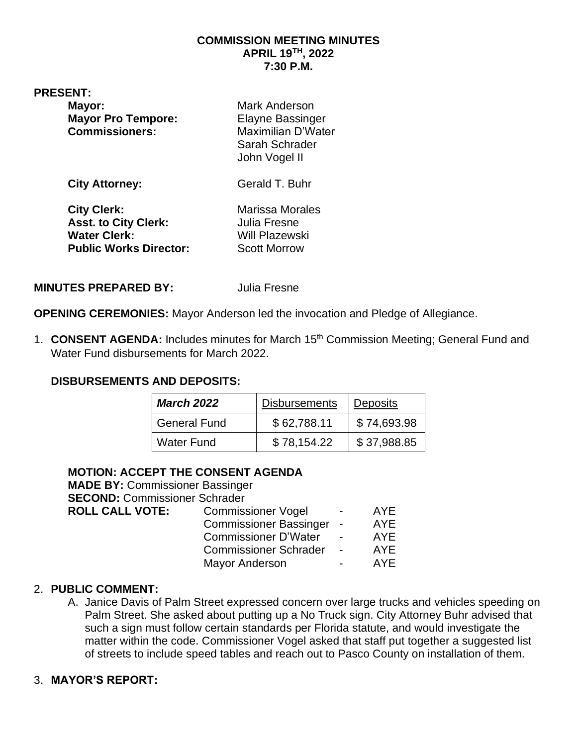#### **COMMISSION MEETING MINUTES APRIL 19TH, 2022 7:30 P.M.**

#### **PRESENT:**

| Mayor:<br><b>Mayor Pro Tempore:</b><br><b>Commissioners:</b>                                              | <b>Mark Anderson</b><br>Elayne Bassinger<br>Maximilian D'Water<br>Sarah Schrader<br>John Vogel II |
|-----------------------------------------------------------------------------------------------------------|---------------------------------------------------------------------------------------------------|
| <b>City Attorney:</b>                                                                                     | Gerald T. Buhr                                                                                    |
| <b>City Clerk:</b><br><b>Asst. to City Clerk:</b><br><b>Water Clerk:</b><br><b>Public Works Director:</b> | <b>Marissa Morales</b><br>Julia Fresne<br>Will Plazewski<br><b>Scott Morrow</b>                   |

#### **MINUTES PREPARED BY:** Julia Fresne

**OPENING CEREMONIES:** Mayor Anderson led the invocation and Pledge of Allegiance.

1. **CONSENT AGENDA:** Includes minutes for March 15th Commission Meeting; General Fund and Water Fund disbursements for March 2022.

#### **DISBURSEMENTS AND DEPOSITS:**

| <b>March 2022</b>   | <b>Disbursements</b> | <b>Deposits</b> |
|---------------------|----------------------|-----------------|
| <b>General Fund</b> | \$62,788.11          | \$74,693.98     |
| Water Fund          | \$78,154.22          | \$37,988.85     |

#### **MOTION: ACCEPT THE CONSENT AGENDA**

**MADE BY:** Commissioner Bassinger **SECOND:** Commissioner Schrader **ROLL CALL VOTE:** Commissioner Vogel - AYE Commissioner Bassinger - AYE Commissioner D'Water - AYE Commissioner Schrader - AYE Mayor Anderson **- AYE** 

#### 2. **PUBLIC COMMENT:**

A. Janice Davis of Palm Street expressed concern over large trucks and vehicles speeding on Palm Street. She asked about putting up a No Truck sign. City Attorney Buhr advised that such a sign must follow certain standards per Florida statute, and would investigate the matter within the code. Commissioner Vogel asked that staff put together a suggested list of streets to include speed tables and reach out to Pasco County on installation of them.

#### 3. **MAYOR'S REPORT:**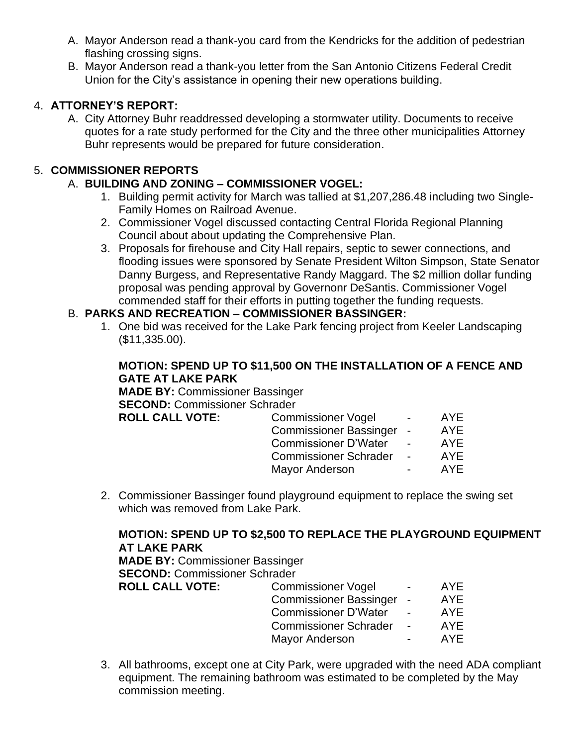- A. Mayor Anderson read a thank-you card from the Kendricks for the addition of pedestrian flashing crossing signs.
- B. Mayor Anderson read a thank-you letter from the San Antonio Citizens Federal Credit Union for the City's assistance in opening their new operations building.

### 4. **ATTORNEY'S REPORT:**

A. City Attorney Buhr readdressed developing a stormwater utility. Documents to receive quotes for a rate study performed for the City and the three other municipalities Attorney Buhr represents would be prepared for future consideration.

### 5. **COMMISSIONER REPORTS**

### A. **BUILDING AND ZONING – COMMISSIONER VOGEL:**

- 1. Building permit activity for March was tallied at \$1,207,286.48 including two Single-Family Homes on Railroad Avenue.
- 2. Commissioner Vogel discussed contacting Central Florida Regional Planning Council about about updating the Comprehensive Plan.
- 3. Proposals for firehouse and City Hall repairs, septic to sewer connections, and flooding issues were sponsored by Senate President Wilton Simpson, State Senator Danny Burgess, and Representative Randy Maggard. The \$2 million dollar funding proposal was pending approval by Governonr DeSantis. Commissioner Vogel commended staff for their efforts in putting together the funding requests.

#### B. **PARKS AND RECREATION – COMMISSIONER BASSINGER:**

1. One bid was received for the Lake Park fencing project from Keeler Landscaping (\$11,335.00).

### **MOTION: SPEND UP TO \$11,500 ON THE INSTALLATION OF A FENCE AND GATE AT LAKE PARK**

**MADE BY:** Commissioner Bassinger **SECOND:** Commissioner Schrader **ROLL CAI** 

| LL VOTE: | <b>Commissioner Vogel</b>     | $\sim$ | AYE        |
|----------|-------------------------------|--------|------------|
|          | <b>Commissioner Bassinger</b> | $\sim$ | <b>AYE</b> |
|          | <b>Commissioner D'Water</b>   |        | <b>AYE</b> |
|          | <b>Commissioner Schrader</b>  |        | <b>AYE</b> |
|          | <b>Mayor Anderson</b>         |        | AYE        |

2. Commissioner Bassinger found playground equipment to replace the swing set which was removed from Lake Park.

## **MOTION: SPEND UP TO \$2,500 TO REPLACE THE PLAYGROUND EQUIPMENT AT LAKE PARK**

**MADE BY:** Commissioner Bassinger **SECOND:** Commissioner Schrader

| <b>ROLL CALL VOTE:</b> | <b>Commissioner Vogel</b>    | $\blacksquare$ | AYE.       |
|------------------------|------------------------------|----------------|------------|
|                        | Commissioner Bassinger -     |                | <b>AYE</b> |
|                        | <b>Commissioner D'Water</b>  |                | <b>AYE</b> |
|                        | <b>Commissioner Schrader</b> | $\sim$         | <b>AYE</b> |
|                        | <b>Mayor Anderson</b>        | $\blacksquare$ | <b>AYE</b> |
|                        |                              |                |            |

3. All bathrooms, except one at City Park, were upgraded with the need ADA compliant equipment. The remaining bathroom was estimated to be completed by the May commission meeting.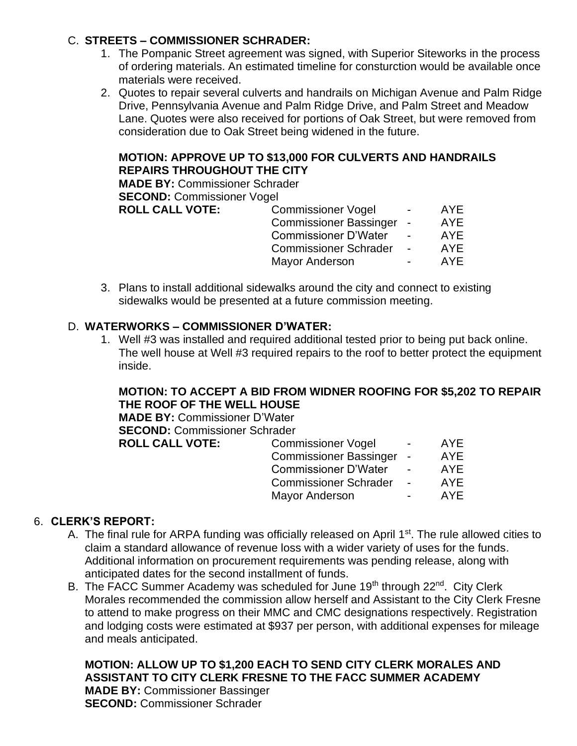### C. **STREETS – COMMISSIONER SCHRADER:**

- 1. The Pompanic Street agreement was signed, with Superior Siteworks in the process of ordering materials. An estimated timeline for consturction would be available once materials were received.
- 2. Quotes to repair several culverts and handrails on Michigan Avenue and Palm Ridge Drive, Pennsylvania Avenue and Palm Ridge Drive, and Palm Street and Meadow Lane. Quotes were also received for portions of Oak Street, but were removed from consideration due to Oak Street being widened in the future.

### **MOTION: APPROVE UP TO \$13,000 FOR CULVERTS AND HANDRAILS REPAIRS THROUGHOUT THE CITY**

**MADE BY:** Commissioner Schrader

**SECOND: Commissioner Vogel** 

| <b>ROLL CALL VOTE:</b> | <b>Commissioner Vogel</b>     | $\overline{\phantom{0}}$ | AYE        |
|------------------------|-------------------------------|--------------------------|------------|
|                        | <b>Commissioner Bassinger</b> | $\overline{\phantom{a}}$ | <b>AYE</b> |
|                        | <b>Commissioner D'Water</b>   |                          | AYE.       |
|                        | <b>Commissioner Schrader</b>  | $\overline{\phantom{a}}$ | AYE        |
|                        | <b>Mayor Anderson</b>         | $\overline{\phantom{0}}$ | AYF        |

3. Plans to install additional sidewalks around the city and connect to existing sidewalks would be presented at a future commission meeting.

### D. **WATERWORKS – COMMISSIONER D'WATER:**

1. Well #3 was installed and required additional tested prior to being put back online. The well house at Well #3 required repairs to the roof to better protect the equipment inside.

### **MOTION: TO ACCEPT A BID FROM WIDNER ROOFING FOR \$5,202 TO REPAIR THE ROOF OF THE WELL HOUSE**

**MADE BY:** Commissioner D'Water **SECOND:** Commissioner Schrader

| <b>ROLL CALL VOTE:</b> | <b>Commissioner Vogel</b>    | $\overline{\phantom{0}}$ | AYE        |
|------------------------|------------------------------|--------------------------|------------|
|                        | Commissioner Bassinger -     |                          | <b>AYE</b> |
|                        | <b>Commissioner D'Water</b>  |                          | AYE        |
|                        | <b>Commissioner Schrader</b> |                          | AYE        |
|                        | <b>Mayor Anderson</b>        | $\sim$                   | AYE        |
|                        |                              |                          |            |

### 6. **CLERK'S REPORT:**

- A. The final rule for ARPA funding was officially released on April 1<sup>st</sup>. The rule allowed cities to claim a standard allowance of revenue loss with a wider variety of uses for the funds. Additional information on procurement requirements was pending release, along with anticipated dates for the second installment of funds.
- B. The FACC Summer Academy was scheduled for June 19<sup>th</sup> through 22<sup>nd</sup>. City Clerk Morales recommended the commission allow herself and Assistant to the City Clerk Fresne to attend to make progress on their MMC and CMC designations respectively. Registration and lodging costs were estimated at \$937 per person, with additional expenses for mileage and meals anticipated.

**MOTION: ALLOW UP TO \$1,200 EACH TO SEND CITY CLERK MORALES AND ASSISTANT TO CITY CLERK FRESNE TO THE FACC SUMMER ACADEMY MADE BY:** Commissioner Bassinger **SECOND:** Commissioner Schrader